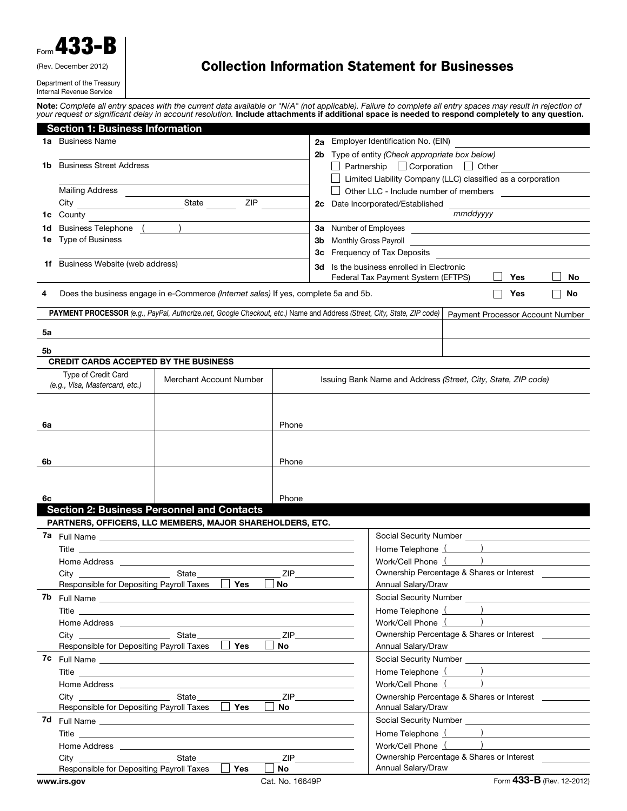| Form 433-1                 |
|----------------------------|
| (Rev. December 2012)       |
| Department of the Treasury |

Internal Revenue Service

## Collection Information Statement for Businesses

Note: *Complete all entry spaces with the current data available or "N/A" (not applicable). Failure to complete all entry spaces may result in rejection of your request or significant delay in account resolution.* Include attachments if additional space is needed to respond completely to any question.

|     | <b>Section 1: Business Information</b>                |                                                                                     |                           |                                                                                                                                               |                                                                                                                                                             |    |  |  |  |
|-----|-------------------------------------------------------|-------------------------------------------------------------------------------------|---------------------------|-----------------------------------------------------------------------------------------------------------------------------------------------|-------------------------------------------------------------------------------------------------------------------------------------------------------------|----|--|--|--|
|     | <b>1a</b> Business Name                               |                                                                                     |                           | 2a                                                                                                                                            | Employer Identification No. (EIN)                                                                                                                           |    |  |  |  |
|     |                                                       |                                                                                     |                           | 2b                                                                                                                                            | Type of entity (Check appropriate box below)                                                                                                                |    |  |  |  |
| 1b. | <b>Business Street Address</b>                        |                                                                                     |                           |                                                                                                                                               | $\Box$ Partnership $\Box$ Corporation $\Box$ Other                                                                                                          |    |  |  |  |
|     |                                                       |                                                                                     |                           |                                                                                                                                               | □ Limited Liability Company (LLC) classified as a corporation                                                                                               |    |  |  |  |
|     | <b>Mailing Address</b>                                |                                                                                     |                           |                                                                                                                                               | □ Other LLC - Include number of members <u>□ □ □ □ □ □ □ □ □</u>                                                                                            |    |  |  |  |
|     |                                                       | State<br>ZIP                                                                        |                           |                                                                                                                                               | 2c Date Incorporated/Established                                                                                                                            |    |  |  |  |
| 1c  | County                                                |                                                                                     |                           |                                                                                                                                               | mmddyyyy                                                                                                                                                    |    |  |  |  |
| 1d  | Business Telephone (<br>1e Type of Business           |                                                                                     |                           | 3a Number of Employees<br><u>and the control of the control of the control of the control of the control of the control of the control of</u> |                                                                                                                                                             |    |  |  |  |
|     |                                                       |                                                                                     |                           | 3b                                                                                                                                            | 3c Frequency of Tax Deposits                                                                                                                                |    |  |  |  |
|     | <b>1f</b> Business Website (web address)              |                                                                                     |                           |                                                                                                                                               |                                                                                                                                                             |    |  |  |  |
|     |                                                       |                                                                                     |                           |                                                                                                                                               | 3d Is the business enrolled in Electronic<br>Federal Tax Payment System (EFTPS)<br>Yes                                                                      | No |  |  |  |
|     |                                                       |                                                                                     |                           |                                                                                                                                               |                                                                                                                                                             |    |  |  |  |
|     |                                                       | Does the business engage in e-Commerce (Internet sales) If yes, complete 5a and 5b. |                           |                                                                                                                                               | Yes                                                                                                                                                         | No |  |  |  |
|     |                                                       |                                                                                     |                           |                                                                                                                                               | PAYMENT PROCESSOR (e.g., PayPal, Authorize.net, Google Checkout, etc.) Name and Address (Street, City, State, ZIP code)<br>Payment Processor Account Number |    |  |  |  |
| 5a  |                                                       |                                                                                     |                           |                                                                                                                                               |                                                                                                                                                             |    |  |  |  |
|     |                                                       |                                                                                     |                           |                                                                                                                                               |                                                                                                                                                             |    |  |  |  |
| 5b  |                                                       |                                                                                     |                           |                                                                                                                                               |                                                                                                                                                             |    |  |  |  |
|     | <b>CREDIT CARDS ACCEPTED BY THE BUSINESS</b>          |                                                                                     |                           |                                                                                                                                               |                                                                                                                                                             |    |  |  |  |
|     | Type of Credit Card<br>(e.g., Visa, Mastercard, etc.) | Merchant Account Number                                                             |                           |                                                                                                                                               | Issuing Bank Name and Address (Street, City, State, ZIP code)                                                                                               |    |  |  |  |
|     |                                                       |                                                                                     |                           |                                                                                                                                               |                                                                                                                                                             |    |  |  |  |
|     |                                                       |                                                                                     |                           |                                                                                                                                               |                                                                                                                                                             |    |  |  |  |
| 6a  |                                                       |                                                                                     | Phone                     |                                                                                                                                               |                                                                                                                                                             |    |  |  |  |
|     |                                                       |                                                                                     |                           |                                                                                                                                               |                                                                                                                                                             |    |  |  |  |
|     |                                                       |                                                                                     |                           |                                                                                                                                               |                                                                                                                                                             |    |  |  |  |
| 6b  |                                                       |                                                                                     | Phone                     |                                                                                                                                               |                                                                                                                                                             |    |  |  |  |
|     |                                                       |                                                                                     |                           |                                                                                                                                               |                                                                                                                                                             |    |  |  |  |
|     |                                                       |                                                                                     |                           |                                                                                                                                               |                                                                                                                                                             |    |  |  |  |
| 6c  |                                                       |                                                                                     | Phone                     |                                                                                                                                               |                                                                                                                                                             |    |  |  |  |
|     |                                                       | <b>Section 2: Business Personnel and Contacts</b>                                   |                           |                                                                                                                                               |                                                                                                                                                             |    |  |  |  |
|     |                                                       | PARTNERS, OFFICERS, LLC MEMBERS, MAJOR SHAREHOLDERS, ETC.                           |                           |                                                                                                                                               |                                                                                                                                                             |    |  |  |  |
|     |                                                       |                                                                                     |                           |                                                                                                                                               |                                                                                                                                                             |    |  |  |  |
|     |                                                       |                                                                                     |                           |                                                                                                                                               | Work/Cell Phone ()                                                                                                                                          |    |  |  |  |
|     |                                                       |                                                                                     | <b>ZIP</b>                |                                                                                                                                               | Ownership Percentage & Shares or Interest                                                                                                                   |    |  |  |  |
|     |                                                       | Presponsible for Depositing Payroll Taxes □ Yes □ No                                |                           |                                                                                                                                               | Annual Salary/Draw                                                                                                                                          |    |  |  |  |
|     |                                                       | <b>7b</b> Full Name <u>experience</u>                                               |                           |                                                                                                                                               |                                                                                                                                                             |    |  |  |  |
|     |                                                       |                                                                                     |                           |                                                                                                                                               | Home Telephone ( )                                                                                                                                          |    |  |  |  |
|     |                                                       |                                                                                     |                           |                                                                                                                                               | Work/Cell Phone ( )                                                                                                                                         |    |  |  |  |
|     |                                                       |                                                                                     |                           |                                                                                                                                               | Ownership Percentage & Shares or Interest<br>ZIP                                                                                                            |    |  |  |  |
|     |                                                       | Responsible for Depositing Payroll Taxes <b>Pres</b>                                | $\Box$ No $\qquad \qquad$ |                                                                                                                                               | Annual Salary/Draw                                                                                                                                          |    |  |  |  |
|     |                                                       |                                                                                     |                           |                                                                                                                                               |                                                                                                                                                             |    |  |  |  |
|     |                                                       |                                                                                     |                           |                                                                                                                                               | Home Telephone ( )                                                                                                                                          |    |  |  |  |
|     |                                                       |                                                                                     |                           |                                                                                                                                               | Work/Cell Phone ( )                                                                                                                                         |    |  |  |  |
|     |                                                       |                                                                                     |                           |                                                                                                                                               | ZIP<br>Ownership Percentage & Shares or Interest ___________                                                                                                |    |  |  |  |
|     |                                                       | Responsible for Depositing Payroll Taxes <b>Pres</b>                                |                           |                                                                                                                                               | Annual Salary/Draw<br>the control of the control of the control of the control of the control of                                                            |    |  |  |  |
|     |                                                       |                                                                                     |                           |                                                                                                                                               |                                                                                                                                                             |    |  |  |  |
|     |                                                       |                                                                                     |                           |                                                                                                                                               | Home Telephone ( )<br>Work/Cell Phone ( )                                                                                                                   |    |  |  |  |
|     |                                                       |                                                                                     |                           |                                                                                                                                               | Ownership Percentage & Shares or Interest __________<br>ZIP                                                                                                 |    |  |  |  |
|     | Responsible for Depositing Payroll Taxes              | $\Box$<br>Yes                                                                       | No                        |                                                                                                                                               | Annual Salary/Draw                                                                                                                                          |    |  |  |  |
|     | www.irs.gov                                           |                                                                                     | Cat. No. 16649P           |                                                                                                                                               | Form 433-B (Rev. 12-2012)                                                                                                                                   |    |  |  |  |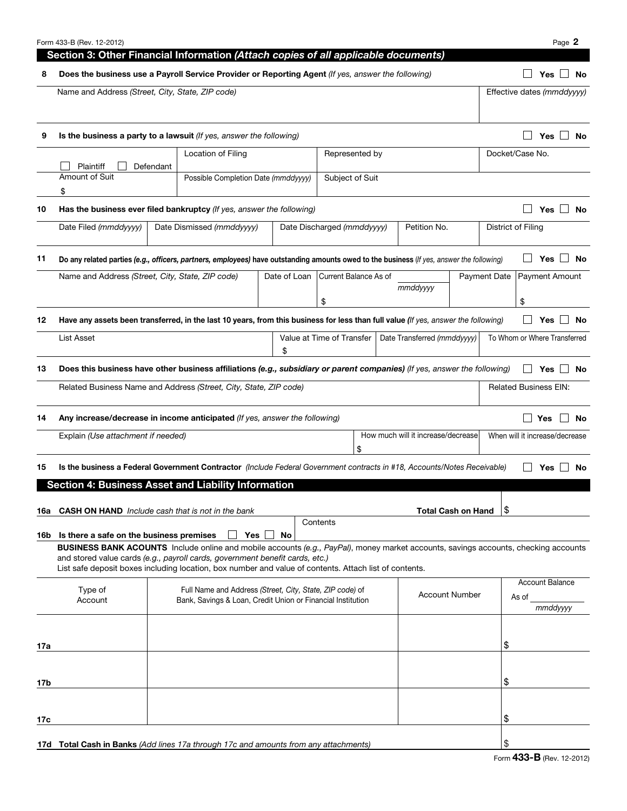|       | Form 433-B (Rev. 12-2012)                                                                                                                                                                                                                                                                                                                                                     |           |                           |     |              |                            |                                    |  |                                    |  |                                |                    | Page 2                       |  |
|-------|-------------------------------------------------------------------------------------------------------------------------------------------------------------------------------------------------------------------------------------------------------------------------------------------------------------------------------------------------------------------------------|-----------|---------------------------|-----|--------------|----------------------------|------------------------------------|--|------------------------------------|--|--------------------------------|--------------------|------------------------------|--|
|       | Section 3: Other Financial Information (Attach copies of all applicable documents)                                                                                                                                                                                                                                                                                            |           |                           |     |              |                            |                                    |  |                                    |  |                                |                    |                              |  |
| 8     | Does the business use a Payroll Service Provider or Reporting Agent (If yes, answer the following)                                                                                                                                                                                                                                                                            |           |                           |     |              |                            |                                    |  |                                    |  |                                |                    | No<br>Yes                    |  |
|       | Name and Address (Street, City, State, ZIP code)                                                                                                                                                                                                                                                                                                                              |           |                           |     |              |                            |                                    |  |                                    |  |                                |                    | Effective dates (mmddyyyy)   |  |
| 9     | Is the business a party to a lawsuit (If yes, answer the following)                                                                                                                                                                                                                                                                                                           |           |                           |     |              |                            |                                    |  |                                    |  |                                |                    | Yes<br>No<br>$\blacksquare$  |  |
|       | Plaintiff                                                                                                                                                                                                                                                                                                                                                                     | Defendant | Location of Filing        |     |              | Represented by             |                                    |  |                                    |  |                                | Docket/Case No.    |                              |  |
|       | Amount of Suit<br>Possible Completion Date (mmddyyyy)<br>Subject of Suit<br>\$                                                                                                                                                                                                                                                                                                |           |                           |     |              |                            |                                    |  |                                    |  |                                |                    |                              |  |
| 10    | Has the business ever filed bankruptcy (If yes, answer the following)                                                                                                                                                                                                                                                                                                         |           |                           |     |              |                            |                                    |  |                                    |  |                                |                    | Yes $\Box$ No                |  |
|       | Date Filed (mmddyyyy)                                                                                                                                                                                                                                                                                                                                                         |           | Date Dismissed (mmddyyyy) |     |              | Date Discharged (mmddyyyy) |                                    |  | Petition No.                       |  |                                | District of Filing |                              |  |
| 11    | Do any related parties (e.g., officers, partners, employees) have outstanding amounts owed to the business (If yes, answer the following)                                                                                                                                                                                                                                     |           |                           |     |              |                            |                                    |  |                                    |  |                                |                    | Yes<br>No                    |  |
|       | Name and Address (Street, City, State, ZIP code)                                                                                                                                                                                                                                                                                                                              |           |                           |     | Date of Loan | Current Balance As of      |                                    |  | mmddyyyy                           |  | <b>Payment Date</b>            |                    | <b>Payment Amount</b>        |  |
| 12    | Have any assets been transferred, in the last 10 years, from this business for less than full value (If yes, answer the following)                                                                                                                                                                                                                                            |           |                           |     |              | \$                         |                                    |  |                                    |  |                                | \$                 | Yes<br><b>No</b>             |  |
|       | <b>List Asset</b>                                                                                                                                                                                                                                                                                                                                                             |           |                           |     | \$           | Value at Time of Transfer  |                                    |  | Date Transferred (mmddyyyy)        |  | To Whom or Where Transferred   |                    |                              |  |
| 13    | Does this business have other business affiliations (e.g., subsidiary or parent companies) (If yes, answer the following)                                                                                                                                                                                                                                                     |           |                           |     |              |                            |                                    |  |                                    |  |                                |                    | No<br>Yes l                  |  |
|       | Related Business Name and Address (Street, City, State, ZIP code)                                                                                                                                                                                                                                                                                                             |           |                           |     |              |                            |                                    |  |                                    |  |                                |                    | <b>Related Business EIN:</b> |  |
| 14    | Any increase/decrease in income anticipated (If yes, answer the following)                                                                                                                                                                                                                                                                                                    |           |                           |     |              |                            |                                    |  |                                    |  |                                |                    | Yes<br><b>No</b>             |  |
|       | Explain (Use attachment if needed)                                                                                                                                                                                                                                                                                                                                            |           |                           |     |              |                            | \$                                 |  | How much will it increase/decrease |  | When will it increase/decrease |                    |                              |  |
| 15    | Is the business a Federal Government Contractor (Include Federal Government contracts in #18, Accounts/Notes Receivable)                                                                                                                                                                                                                                                      |           |                           |     |              |                            |                                    |  |                                    |  |                                |                    | <b>Yes</b><br>No             |  |
|       | <b>Section 4: Business Asset and Liability Information</b>                                                                                                                                                                                                                                                                                                                    |           |                           |     |              |                            |                                    |  |                                    |  |                                |                    |                              |  |
| 16a - | <b>CASH ON HAND</b> Include cash that is not in the bank                                                                                                                                                                                                                                                                                                                      |           |                           |     |              |                            |                                    |  | <b>Total Cash on Hand</b>          |  | \$                             |                    |                              |  |
|       |                                                                                                                                                                                                                                                                                                                                                                               |           |                           |     |              | Contents                   |                                    |  |                                    |  |                                |                    |                              |  |
|       | 16b Is there a safe on the business premises<br>BUSINESS BANK ACOUNTS Include online and mobile accounts (e.g., PayPal), money market accounts, savings accounts, checking accounts<br>and stored value cards (e.g., payroll cards, government benefit cards, etc.)<br>List safe deposit boxes including location, box number and value of contents. Attach list of contents. |           |                           | Yes | No           |                            |                                    |  |                                    |  |                                |                    |                              |  |
|       | Full Name and Address (Street, City, State, ZIP code) of<br>Type of<br><b>Account Number</b><br>Account<br>Bank, Savings & Loan, Credit Union or Financial Institution                                                                                                                                                                                                        |           |                           |     |              | As of                      | <b>Account Balance</b><br>mmddyyyy |  |                                    |  |                                |                    |                              |  |
|       |                                                                                                                                                                                                                                                                                                                                                                               |           |                           |     |              |                            |                                    |  |                                    |  |                                |                    |                              |  |
| 17a   |                                                                                                                                                                                                                                                                                                                                                                               |           |                           |     |              |                            |                                    |  |                                    |  | \$                             |                    |                              |  |
| 17b   |                                                                                                                                                                                                                                                                                                                                                                               |           |                           |     |              |                            |                                    |  |                                    |  | \$                             |                    |                              |  |
|       |                                                                                                                                                                                                                                                                                                                                                                               |           |                           |     |              |                            |                                    |  |                                    |  |                                |                    |                              |  |
| 17c   |                                                                                                                                                                                                                                                                                                                                                                               |           |                           |     |              |                            |                                    |  |                                    |  | \$                             |                    |                              |  |
|       | <b>17d Total Cash in Banks</b> (Add lines 17a through 17c and amounts from any attachments)                                                                                                                                                                                                                                                                                   |           |                           |     |              |                            |                                    |  |                                    |  | \$                             |                    |                              |  |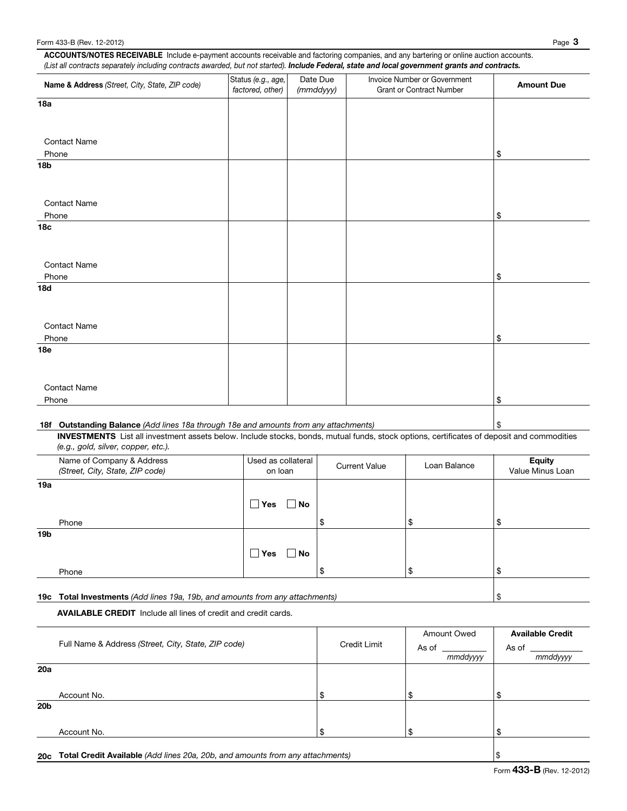ACCOUNTS/NOTES RECEIVABLE Include e-payment accounts receivable and factoring companies, and any bartering or online auction accounts. *(List all contracts separately including contracts awarded, but not started). Include Federal, state and local government grants and contracts.*

| Name & Address (Street, City, State, ZIP code)                                                                                            | Status (e.g., age,<br>factored, other) |                    | Date Due<br>(mmddyyy) |                      | Invoice Number or Government<br><b>Grant or Contract Number</b> | <b>Amount Due</b> |
|-------------------------------------------------------------------------------------------------------------------------------------------|----------------------------------------|--------------------|-----------------------|----------------------|-----------------------------------------------------------------|-------------------|
| 18a                                                                                                                                       |                                        |                    |                       |                      |                                                                 |                   |
|                                                                                                                                           |                                        |                    |                       |                      |                                                                 |                   |
|                                                                                                                                           |                                        |                    |                       |                      |                                                                 |                   |
| <b>Contact Name</b>                                                                                                                       |                                        |                    |                       |                      |                                                                 |                   |
| Phone<br><b>18b</b>                                                                                                                       |                                        |                    |                       |                      |                                                                 | \$                |
|                                                                                                                                           |                                        |                    |                       |                      |                                                                 |                   |
|                                                                                                                                           |                                        |                    |                       |                      |                                                                 |                   |
| <b>Contact Name</b>                                                                                                                       |                                        |                    |                       |                      |                                                                 |                   |
| Phone                                                                                                                                     |                                        |                    |                       |                      |                                                                 | \$                |
| 18 <sub>c</sub>                                                                                                                           |                                        |                    |                       |                      |                                                                 |                   |
|                                                                                                                                           |                                        |                    |                       |                      |                                                                 |                   |
|                                                                                                                                           |                                        |                    |                       |                      |                                                                 |                   |
| <b>Contact Name</b><br>Phone                                                                                                              |                                        |                    |                       |                      |                                                                 | \$                |
| <b>18d</b>                                                                                                                                |                                        |                    |                       |                      |                                                                 |                   |
|                                                                                                                                           |                                        |                    |                       |                      |                                                                 |                   |
|                                                                                                                                           |                                        |                    |                       |                      |                                                                 |                   |
| <b>Contact Name</b>                                                                                                                       |                                        |                    |                       |                      |                                                                 |                   |
| Phone                                                                                                                                     |                                        |                    |                       |                      |                                                                 | \$                |
| 18e                                                                                                                                       |                                        |                    |                       |                      |                                                                 |                   |
|                                                                                                                                           |                                        |                    |                       |                      |                                                                 |                   |
|                                                                                                                                           |                                        |                    |                       |                      |                                                                 |                   |
| <b>Contact Name</b><br>Phone                                                                                                              |                                        |                    |                       |                      |                                                                 | \$                |
|                                                                                                                                           |                                        |                    |                       |                      |                                                                 |                   |
| 18f Outstanding Balance (Add lines 18a through 18e and amounts from any attachments)                                                      |                                        |                    |                       |                      |                                                                 | \$                |
| INVESTMENTS List all investment assets below. Include stocks, bonds, mutual funds, stock options, certificates of deposit and commodities |                                        |                    |                       |                      |                                                                 |                   |
| (e.g., gold, silver, copper, etc.).                                                                                                       |                                        |                    |                       |                      |                                                                 |                   |
| Name of Company & Address                                                                                                                 |                                        | Used as collateral |                       | <b>Current Value</b> | Loan Balance                                                    | <b>Equity</b>     |
| (Street, City, State, ZIP code)                                                                                                           |                                        | on loan            |                       |                      |                                                                 | Value Minus Loan  |
| 19a                                                                                                                                       |                                        |                    |                       |                      |                                                                 |                   |
|                                                                                                                                           | $\Box$ Yes                             | $\square$ No       |                       |                      |                                                                 |                   |
| Phone                                                                                                                                     |                                        |                    | \$                    |                      | \$                                                              | \$                |
| 19 <sub>b</sub>                                                                                                                           |                                        |                    |                       |                      |                                                                 |                   |
|                                                                                                                                           |                                        |                    |                       |                      |                                                                 |                   |
|                                                                                                                                           | $\square$ Yes                          | $\Box$ No          |                       |                      |                                                                 |                   |

19c Total Investments *(Add lines 19a, 19b, and amounts from any attachments)* \$

Phone

AVAILABLE CREDIT Include all lines of credit and credit cards.

|                 | Full Name & Address (Street, City, State, ZIP code) | <b>Credit Limit</b> | Amount Owed<br>As of<br>mmddyyyy | <b>Available Credit</b><br>As of<br>mmddyyyy |
|-----------------|-----------------------------------------------------|---------------------|----------------------------------|----------------------------------------------|
| 20a             |                                                     |                     |                                  |                                              |
|                 | Account No.                                         | \$                  |                                  |                                              |
| 20 <sub>b</sub> |                                                     |                     |                                  |                                              |
|                 | Account No.                                         | \$                  | ٠F                               |                                              |
|                 |                                                     |                     |                                  |                                              |

 $\sim$  \$ \$

20c Total Credit Available *(Add lines 20a, 20b, and amounts from any attachments)* \$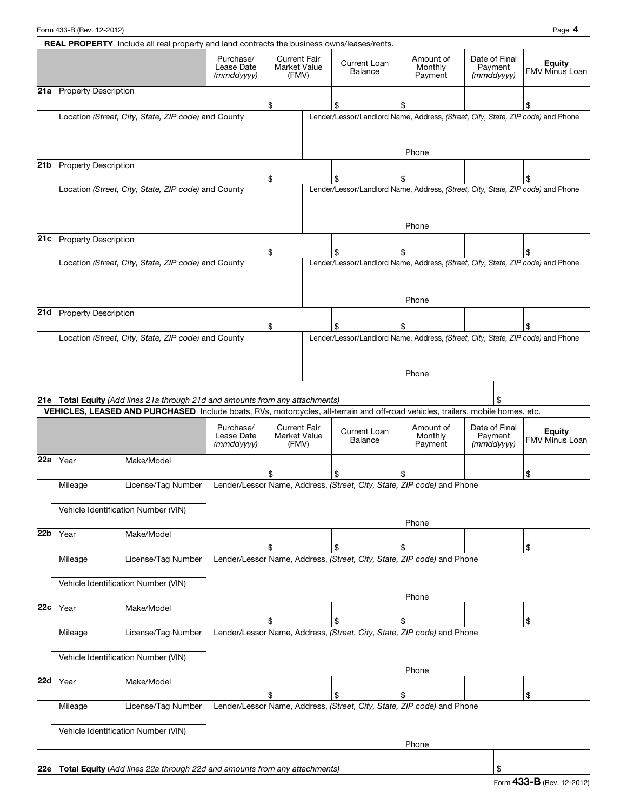Form 433-B (Rev. 12-2012) Page 4

|     |                                     | <b>REAL PROPERTY</b> Include all real property and land contracts the business owns/leases/rents.                                                                                                                |                                                                        |                                              |  |                                                                                       |                                 |                                           |                                 |  |
|-----|-------------------------------------|------------------------------------------------------------------------------------------------------------------------------------------------------------------------------------------------------------------|------------------------------------------------------------------------|----------------------------------------------|--|---------------------------------------------------------------------------------------|---------------------------------|-------------------------------------------|---------------------------------|--|
|     |                                     |                                                                                                                                                                                                                  | Purchase/<br>Lease Date<br>(mmddyyyy)                                  | <b>Current Fair</b><br>Market Value<br>(FMV) |  | Current Loan<br>Balance                                                               | Amount of<br>Monthly<br>Payment | Date of Final<br>Payment<br>$(mm$ ddyyyy) | <b>Equity</b><br>FMV Minus Loan |  |
|     | 21a Property Description            |                                                                                                                                                                                                                  |                                                                        |                                              |  |                                                                                       |                                 |                                           |                                 |  |
|     |                                     |                                                                                                                                                                                                                  |                                                                        | \$                                           |  | \$                                                                                    | \$                              |                                           | \$                              |  |
|     |                                     | Location (Street, City, State, ZIP code) and County                                                                                                                                                              |                                                                        |                                              |  | Lender/Lessor/Landlord Name, Address, (Street, City, State, ZIP code) and Phone       | Phone                           |                                           |                                 |  |
| 21b | <b>Property Description</b>         |                                                                                                                                                                                                                  |                                                                        |                                              |  |                                                                                       |                                 |                                           |                                 |  |
|     |                                     |                                                                                                                                                                                                                  |                                                                        | \$                                           |  | \$<br>Lender/Lessor/Landlord Name, Address, (Street, City, State, ZIP code) and Phone | \$                              |                                           | \$                              |  |
|     |                                     | Location (Street, City, State, ZIP code) and County                                                                                                                                                              |                                                                        |                                              |  |                                                                                       | Phone                           |                                           |                                 |  |
|     | 21c Property Description            |                                                                                                                                                                                                                  |                                                                        |                                              |  |                                                                                       |                                 |                                           |                                 |  |
|     |                                     |                                                                                                                                                                                                                  |                                                                        | \$                                           |  | \$                                                                                    | \$                              |                                           | \$                              |  |
|     |                                     | Location (Street, City, State, ZIP code) and County                                                                                                                                                              |                                                                        |                                              |  | Lender/Lessor/Landlord Name, Address, (Street, City, State, ZIP code) and Phone       | Phone                           |                                           |                                 |  |
| 21d | <b>Property Description</b>         |                                                                                                                                                                                                                  |                                                                        |                                              |  |                                                                                       |                                 |                                           |                                 |  |
|     |                                     | Location (Street, City, State, ZIP code) and County                                                                                                                                                              |                                                                        | \$                                           |  | \$<br>Lender/Lessor/Landlord Name, Address, (Street, City, State, ZIP code) and Phone | \$                              |                                           | \$                              |  |
|     |                                     | 21e Total Equity (Add lines 21a through 21d and amounts from any attachments)<br>VEHICLES, LEASED AND PURCHASED Include boats, RVs, motorcycles, all-terrain and off-road vehicles, trailers, mobile homes, etc. |                                                                        |                                              |  |                                                                                       | Phone                           |                                           |                                 |  |
|     |                                     |                                                                                                                                                                                                                  | Purchase/<br>Lease Date<br>(mmddyyyy)                                  | <b>Current Fair</b><br>Market Value<br>(FMV) |  | <b>Current Loan</b><br>Balance                                                        | Amount of<br>Monthly<br>Payment | Date of Final<br>Payment<br>(mmddyyyy)    | <b>Equity</b><br>FMV Minus Loan |  |
|     | 22a Year                            | Make/Model                                                                                                                                                                                                       |                                                                        |                                              |  |                                                                                       |                                 |                                           |                                 |  |
|     |                                     |                                                                                                                                                                                                                  |                                                                        |                                              |  | \$                                                                                    | \$                              |                                           | \$                              |  |
|     | Mileage                             | License/Tag Number                                                                                                                                                                                               |                                                                        |                                              |  | Lender/Lessor Name, Address, (Street, City, State, ZIP code) and Phone                |                                 |                                           |                                 |  |
|     | Vehicle Identification Number (VIN) |                                                                                                                                                                                                                  |                                                                        |                                              |  |                                                                                       | Phone                           |                                           |                                 |  |
| 22b | Year                                | Make/Model                                                                                                                                                                                                       |                                                                        | \$                                           |  | \$                                                                                    | \$                              |                                           | \$                              |  |
|     | Mileage                             | License/Tag Number                                                                                                                                                                                               |                                                                        |                                              |  | Lender/Lessor Name, Address, (Street, City, State, ZIP code) and Phone                |                                 |                                           |                                 |  |
|     | Vehicle Identification Number (VIN) |                                                                                                                                                                                                                  |                                                                        |                                              |  |                                                                                       |                                 |                                           |                                 |  |
| 22c | Year                                | Make/Model                                                                                                                                                                                                       |                                                                        |                                              |  |                                                                                       | Phone                           |                                           |                                 |  |
|     |                                     |                                                                                                                                                                                                                  |                                                                        | \$                                           |  | \$                                                                                    | \$                              |                                           | \$                              |  |
|     | Mileage                             | License/Tag Number                                                                                                                                                                                               | Lender/Lessor Name, Address, (Street, City, State, ZIP code) and Phone |                                              |  |                                                                                       |                                 |                                           |                                 |  |
|     |                                     | Vehicle Identification Number (VIN)                                                                                                                                                                              |                                                                        |                                              |  |                                                                                       |                                 |                                           |                                 |  |
| 22d | Year                                | Make/Model                                                                                                                                                                                                       |                                                                        |                                              |  |                                                                                       | Phone                           |                                           |                                 |  |
|     |                                     |                                                                                                                                                                                                                  |                                                                        | \$                                           |  | \$                                                                                    | \$                              |                                           | \$                              |  |
|     | Mileage                             | License/Tag Number                                                                                                                                                                                               |                                                                        |                                              |  | Lender/Lessor Name, Address, (Street, City, State, ZIP code) and Phone                |                                 |                                           |                                 |  |

Vehicle Identification Number (VIN)

Phone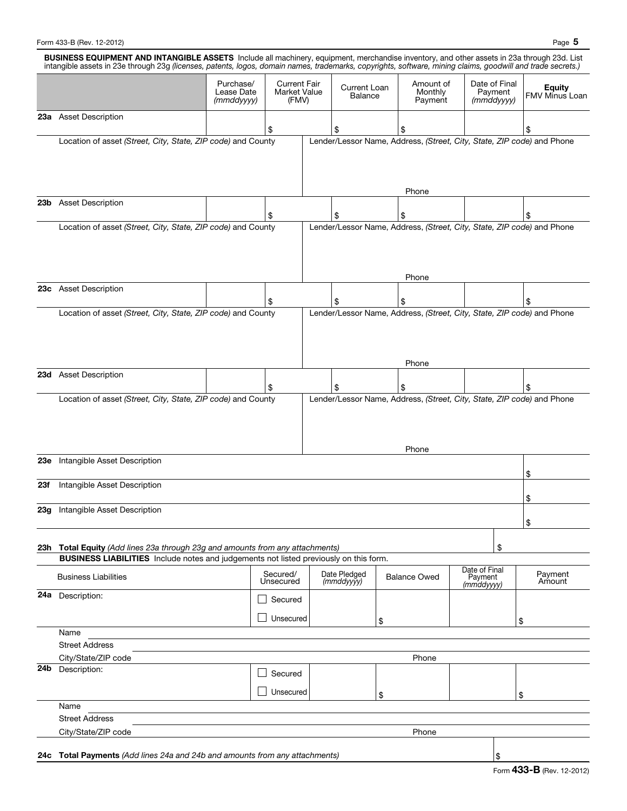|     | BUSINESS EQUIPMENT AND INTANGIBLE ASSETS Include all machinery, equipment, merchandise inventory, and other assets in 23a through 23d. List<br>intangible assets in 23e through 23g (licenses, patents, logos, domain names, trademarks, copyrights, software, mining claims, goodwill and trade secrets.) |                                       |                                              |                                                                        |                                                                                 |                                 |                                        |                                        |                                        |  |  |  |
|-----|------------------------------------------------------------------------------------------------------------------------------------------------------------------------------------------------------------------------------------------------------------------------------------------------------------|---------------------------------------|----------------------------------------------|------------------------------------------------------------------------|---------------------------------------------------------------------------------|---------------------------------|----------------------------------------|----------------------------------------|----------------------------------------|--|--|--|
|     |                                                                                                                                                                                                                                                                                                            | Purchase/<br>Lease Date<br>(mmddyyyy) | <b>Current Fair</b><br>Market Value<br>(FMV) |                                                                        | Current Loan<br>Balance                                                         | Amount of<br>Monthly<br>Payment |                                        | Date of Final<br>Payment<br>(mmddyyyy) | <b>Equity</b><br><b>FMV Minus Loan</b> |  |  |  |
|     | 23a Asset Description                                                                                                                                                                                                                                                                                      |                                       |                                              |                                                                        |                                                                                 |                                 |                                        |                                        |                                        |  |  |  |
|     |                                                                                                                                                                                                                                                                                                            |                                       | \$                                           |                                                                        | \$                                                                              | \$                              |                                        |                                        | \$                                     |  |  |  |
|     | Location of asset (Street, City, State, ZIP code) and County                                                                                                                                                                                                                                               |                                       |                                              |                                                                        | Lender/Lessor Name, Address, (Street, City, State, ZIP code) and Phone<br>Phone |                                 |                                        |                                        |                                        |  |  |  |
|     | 23b Asset Description                                                                                                                                                                                                                                                                                      |                                       |                                              |                                                                        |                                                                                 |                                 |                                        |                                        |                                        |  |  |  |
|     |                                                                                                                                                                                                                                                                                                            |                                       | \$                                           |                                                                        | \$                                                                              | \$                              |                                        |                                        | \$                                     |  |  |  |
|     | Location of asset (Street, City, State, ZIP code) and County<br>Lender/Lessor Name, Address, (Street, City, State, ZIP code) and Phone                                                                                                                                                                     |                                       |                                              |                                                                        |                                                                                 |                                 |                                        |                                        |                                        |  |  |  |
|     |                                                                                                                                                                                                                                                                                                            |                                       |                                              |                                                                        |                                                                                 | Phone                           |                                        |                                        |                                        |  |  |  |
|     | 23c Asset Description                                                                                                                                                                                                                                                                                      |                                       | \$                                           |                                                                        | \$                                                                              | \$                              |                                        |                                        | \$                                     |  |  |  |
|     | Location of asset (Street, City, State, ZIP code) and County                                                                                                                                                                                                                                               |                                       |                                              | Lender/Lessor Name, Address, (Street, City, State, ZIP code) and Phone |                                                                                 |                                 |                                        |                                        |                                        |  |  |  |
|     |                                                                                                                                                                                                                                                                                                            |                                       |                                              |                                                                        |                                                                                 | Phone                           |                                        |                                        |                                        |  |  |  |
|     | 23d Asset Description                                                                                                                                                                                                                                                                                      |                                       | \$                                           |                                                                        | \$                                                                              | \$                              |                                        |                                        | \$                                     |  |  |  |
|     |                                                                                                                                                                                                                                                                                                            |                                       |                                              |                                                                        |                                                                                 | Phone                           |                                        |                                        |                                        |  |  |  |
| 23e | Intangible Asset Description                                                                                                                                                                                                                                                                               |                                       |                                              |                                                                        |                                                                                 |                                 |                                        |                                        | \$                                     |  |  |  |
| 23f | Intangible Asset Description                                                                                                                                                                                                                                                                               |                                       |                                              |                                                                        |                                                                                 |                                 |                                        |                                        | \$                                     |  |  |  |
|     | <b>23g</b> Intangible Asset Description                                                                                                                                                                                                                                                                    |                                       |                                              |                                                                        |                                                                                 |                                 |                                        |                                        |                                        |  |  |  |
|     |                                                                                                                                                                                                                                                                                                            |                                       |                                              |                                                                        |                                                                                 |                                 |                                        |                                        | \$                                     |  |  |  |
|     | 23h Total Equity (Add lines 23a through 23g and amounts from any attachments)                                                                                                                                                                                                                              |                                       |                                              |                                                                        |                                                                                 |                                 |                                        | \$                                     |                                        |  |  |  |
|     | BUSINESS LIABILITIES Include notes and judgements not listed previously on this form.                                                                                                                                                                                                                      |                                       |                                              |                                                                        |                                                                                 |                                 |                                        |                                        |                                        |  |  |  |
|     | <b>Business Liabilities</b>                                                                                                                                                                                                                                                                                |                                       | Secured/<br>Unsecured                        |                                                                        | Date Pledged<br>(mmddyyyy)                                                      | <b>Balance Owed</b>             | Date of Final<br>Payment<br>(mmddyyyy) |                                        | Payment<br>Amount                      |  |  |  |
|     | 24a Description:                                                                                                                                                                                                                                                                                           |                                       | Secured                                      |                                                                        |                                                                                 |                                 |                                        |                                        |                                        |  |  |  |
|     |                                                                                                                                                                                                                                                                                                            |                                       | Unsecured                                    |                                                                        |                                                                                 | \$                              |                                        |                                        | \$                                     |  |  |  |
|     | Name                                                                                                                                                                                                                                                                                                       |                                       |                                              |                                                                        |                                                                                 |                                 |                                        |                                        |                                        |  |  |  |
|     | <b>Street Address</b>                                                                                                                                                                                                                                                                                      |                                       |                                              |                                                                        |                                                                                 |                                 |                                        |                                        |                                        |  |  |  |
|     | City/State/ZIP code                                                                                                                                                                                                                                                                                        |                                       |                                              |                                                                        |                                                                                 | Phone                           |                                        |                                        |                                        |  |  |  |
|     | 24b Description:                                                                                                                                                                                                                                                                                           |                                       | Secured                                      |                                                                        |                                                                                 |                                 |                                        |                                        |                                        |  |  |  |
|     |                                                                                                                                                                                                                                                                                                            |                                       | Unsecured                                    |                                                                        |                                                                                 | \$                              |                                        |                                        | \$                                     |  |  |  |
|     | Name                                                                                                                                                                                                                                                                                                       |                                       |                                              |                                                                        |                                                                                 |                                 |                                        |                                        |                                        |  |  |  |
|     | <b>Street Address</b>                                                                                                                                                                                                                                                                                      |                                       |                                              |                                                                        |                                                                                 |                                 |                                        |                                        |                                        |  |  |  |
|     | City/State/ZIP code                                                                                                                                                                                                                                                                                        |                                       |                                              |                                                                        |                                                                                 | Phone                           |                                        |                                        |                                        |  |  |  |
|     |                                                                                                                                                                                                                                                                                                            |                                       |                                              |                                                                        |                                                                                 |                                 |                                        |                                        |                                        |  |  |  |